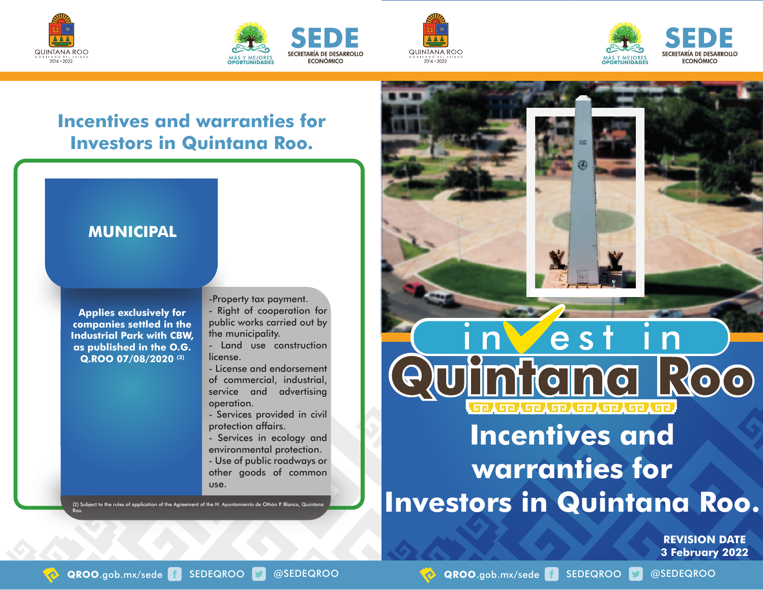







## **Incentives and warranties for Investors in Quintana Roo.**



**Applies exclusively for companies settled in the Industrial Park with CBW, as published in the O.G. Q.ROO 07/08/2020 (2)**

-Property tax payment.

- Right of cooperation for public works carried out by the municipality.
- Land use construction license.
- License and endorsement of commercial, industrial, service and advertising operation.
- Services provided in civil protection affairs.
- Services in ecology and environmental protection.

- Use of public roadways or other goods of common use.

(2) Subject to the rules of application of the Agreement of the H. Ayuntamiento de Othón P. Blanco, Quint Roo.



## **Incentives and warranties for Investors in Quintana Roo.**

**REVISION DATE 3 February 2022**